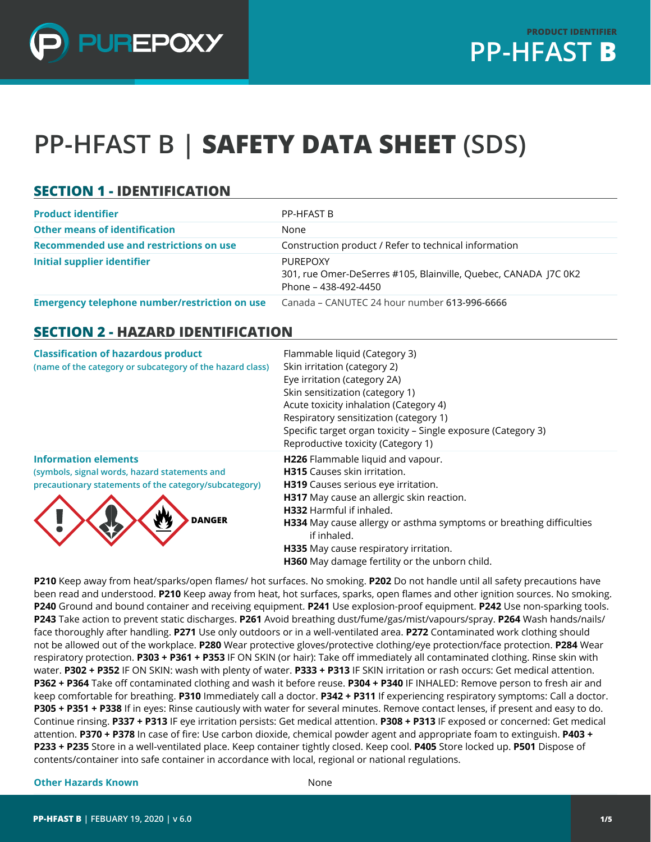

# **PP-HFAST B | SAFETY DATA SHEET (SDS)**

#### **SECTION 1 - IDENTIFICATION**

| <b>Product identifier</b>                            | PP-HFAST B                                                                                                 |
|------------------------------------------------------|------------------------------------------------------------------------------------------------------------|
| <b>Other means of identification</b>                 | None                                                                                                       |
| Recommended use and restrictions on use              | Construction product / Refer to technical information                                                      |
| Initial supplier identifier                          | <b>PURFPOXY</b><br>301, rue Omer-DeSerres #105, Blainville, Quebec, CANADA J7C 0K2<br>Phone – 438-492-4450 |
| <b>Emergency telephone number/restriction on use</b> | Canada - CANUTEC 24 hour number 613-996-6666                                                               |

#### **SECTION 2 - HAZARD IDENTIFICATION**

| <b>Classification of hazardous product</b><br>(name of the category or subcategory of the hazard class)                                                | Flammable liquid (Category 3)<br>Skin irritation (category 2)<br>Eye irritation (category 2A)<br>Skin sensitization (category 1)<br>Acute toxicity inhalation (Category 4)<br>Respiratory sensitization (category 1)<br>Specific target organ toxicity - Single exposure (Category 3)<br>Reproductive toxicity (Category 1)                                                       |
|--------------------------------------------------------------------------------------------------------------------------------------------------------|-----------------------------------------------------------------------------------------------------------------------------------------------------------------------------------------------------------------------------------------------------------------------------------------------------------------------------------------------------------------------------------|
| <b>Information elements</b><br>(symbols, signal words, hazard statements and<br>precautionary statements of the category/subcategory)<br><b>DANGER</b> | H226 Flammable liquid and vapour.<br><b>H315</b> Causes skin irritation.<br>H319 Causes serious eye irritation.<br>H317 May cause an allergic skin reaction.<br><b>H332</b> Harmful if inhaled.<br>H334 May cause allergy or asthma symptoms or breathing difficulties<br>if inhaled.<br>H335 May cause respiratory irritation.<br>H360 May damage fertility or the unborn child. |

**P210** Keep away from heat/sparks/open flames/ hot surfaces. No smoking. **P202** Do not handle until all safety precautions have been read and understood. **P210** Keep away from heat, hot surfaces, sparks, open flames and other ignition sources. No smoking. **P240** Ground and bound container and receiving equipment. **P241** Use explosion-proof equipment. **P242** Use non-sparking tools. **P243** Take action to prevent static discharges. **P261** Avoid breathing dust/fume/gas/mist/vapours/spray. **P264** Wash hands/nails/ face thoroughly after handling. **P271** Use only outdoors or in a well-ventilated area. **P272** Contaminated work clothing should not be allowed out of the workplace. **P280** Wear protective gloves/protective clothing/eye protection/face protection. **P284** Wear respiratory protection. **P303 + P361 + P353** IF ON SKIN (or hair): Take off immediately all contaminated clothing. Rinse skin with water. **P302 + P352** IF ON SKIN: wash with plenty of water. **P333 + P313** IF SKIN irritation or rash occurs: Get medical attention. **P362 + P364** Take off contaminated clothing and wash it before reuse. **P304 + P340** IF INHALED: Remove person to fresh air and keep comfortable for breathing. **P310** Immediately call a doctor. **P342 + P311** If experiencing respiratory symptoms: Call a doctor. **P305 + P351 + P338** If in eyes: Rinse cautiously with water for several minutes. Remove contact lenses, if present and easy to do. Continue rinsing. **P337 + P313** IF eye irritation persists: Get medical attention. **P308 + P313** IF exposed or concerned: Get medical attention. **P370 + P378** In case of fire: Use carbon dioxide, chemical powder agent and appropriate foam to extinguish. **P403 + P233 + P235** Store in a well-ventilated place. Keep container tightly closed. Keep cool. **P405** Store locked up. **P501** Dispose of contents/container into safe container in accordance with local, regional or national regulations.

#### **Other Hazards Known** None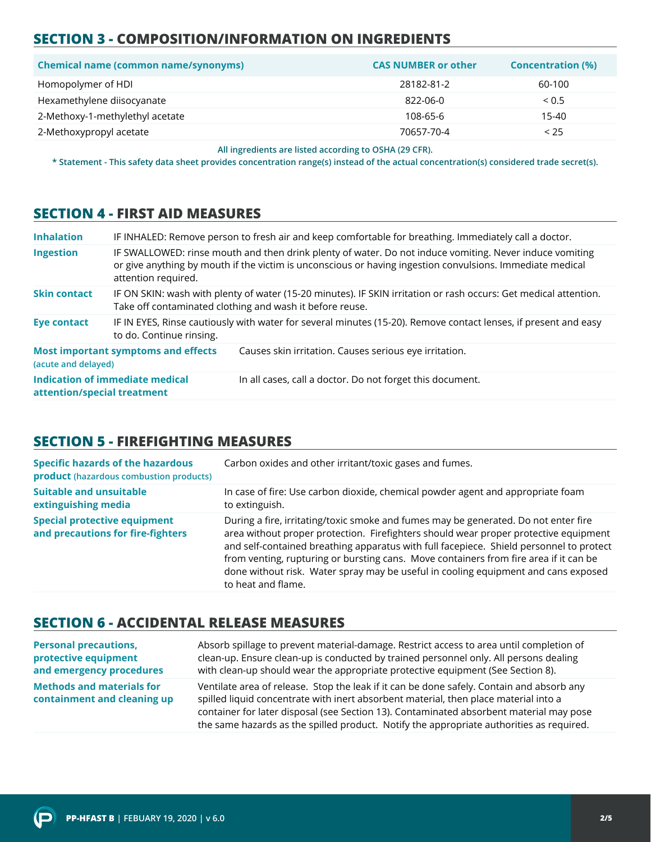# **SECTION 3 - COMPOSITION/INFORMATION ON INGREDIENTS**

| <b>Chemical name (common name/synonyms)</b> | <b>CAS NUMBER or other</b> | <b>Concentration (%)</b> |
|---------------------------------------------|----------------------------|--------------------------|
| Homopolymer of HDI                          | 28182-81-2                 | 60-100                   |
| Hexamethylene diisocyanate                  | 822-06-0                   | < 0.5                    |
| 2-Methoxy-1-methylethyl acetate             | 108-65-6                   | 15-40                    |
| 2-Methoxypropyl acetate                     | 70657-70-4                 | < 25                     |

**All ingredients are listed according to OSHA (29 CFR).**

**\* Statement - This safety data sheet provides concentration range(s) instead of the actual concentration(s) considered trade secret(s).**

#### **SECTION 4 - FIRST AID MEASURES**

| <b>Inhalation</b>           |                                            | IF INHALED: Remove person to fresh air and keep comfortable for breathing. Immediately call a doctor.                                                                                                                |
|-----------------------------|--------------------------------------------|----------------------------------------------------------------------------------------------------------------------------------------------------------------------------------------------------------------------|
| <b>Ingestion</b>            | attention required.                        | IF SWALLOWED: rinse mouth and then drink plenty of water. Do not induce vomiting. Never induce vomiting<br>or give anything by mouth if the victim is unconscious or having ingestion convulsions. Immediate medical |
| <b>Skin contact</b>         |                                            | IF ON SKIN: wash with plenty of water (15-20 minutes). IF SKIN irritation or rash occurs: Get medical attention.<br>Take off contaminated clothing and wash it before reuse.                                         |
| <b>Eye contact</b>          | to do. Continue rinsing.                   | IF IN EYES, Rinse cautiously with water for several minutes (15-20). Remove contact lenses, if present and easy                                                                                                      |
| (acute and delayed)         | <b>Most important symptoms and effects</b> | Causes skin irritation. Causes serious eye irritation.                                                                                                                                                               |
| attention/special treatment | Indication of immediate medical            | In all cases, call a doctor. Do not forget this document.                                                                                                                                                            |

#### **SECTION 5 - FIREFIGHTING MEASURES**

| <b>Specific hazards of the hazardous</b><br>product (hazardous combustion products) | Carbon oxides and other irritant/toxic gases and fumes.                                                                                                                                                                                                                                                                                                                                                                                                                     |
|-------------------------------------------------------------------------------------|-----------------------------------------------------------------------------------------------------------------------------------------------------------------------------------------------------------------------------------------------------------------------------------------------------------------------------------------------------------------------------------------------------------------------------------------------------------------------------|
| <b>Suitable and unsuitable</b><br>extinguishing media                               | In case of fire: Use carbon dioxide, chemical powder agent and appropriate foam<br>to extinguish.                                                                                                                                                                                                                                                                                                                                                                           |
| <b>Special protective equipment</b><br>and precautions for fire-fighters            | During a fire, irritating/toxic smoke and fumes may be generated. Do not enter fire<br>area without proper protection. Firefighters should wear proper protective equipment<br>and self-contained breathing apparatus with full facepiece. Shield personnel to protect<br>from venting, rupturing or bursting cans. Move containers from fire area if it can be<br>done without risk. Water spray may be useful in cooling equipment and cans exposed<br>to heat and flame. |

#### **SECTION 6 - ACCIDENTAL RELEASE MEASURES**

| <b>Personal precautions,</b>                                    | Absorb spillage to prevent material-damage. Restrict access to area until completion of                                                                                                                                                                                                                                                                                  |
|-----------------------------------------------------------------|--------------------------------------------------------------------------------------------------------------------------------------------------------------------------------------------------------------------------------------------------------------------------------------------------------------------------------------------------------------------------|
| protective equipment                                            | clean-up. Ensure clean-up is conducted by trained personnel only. All persons dealing                                                                                                                                                                                                                                                                                    |
| and emergency procedures                                        | with clean-up should wear the appropriate protective equipment (See Section 8).                                                                                                                                                                                                                                                                                          |
| <b>Methods and materials for</b><br>containment and cleaning up | Ventilate area of release. Stop the leak if it can be done safely. Contain and absorb any<br>spilled liquid concentrate with inert absorbent material, then place material into a<br>container for later disposal (see Section 13). Contaminated absorbent material may pose<br>the same hazards as the spilled product. Notify the appropriate authorities as required. |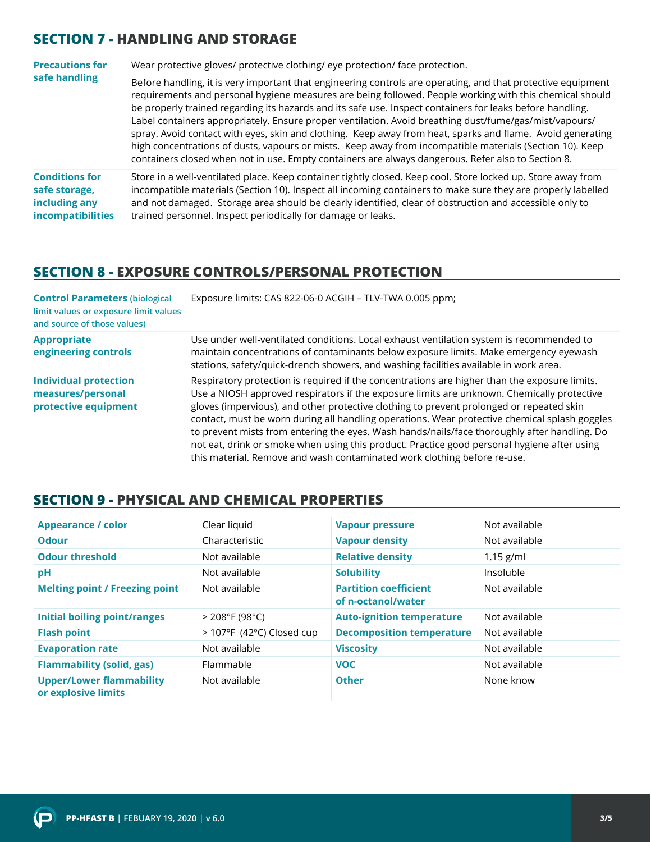#### **SECTION 7 - HANDLING AND STORAGE**

| <b>Precautions for</b>                                                              | Wear protective gloves/ protective clothing/ eye protection/ face protection.                                                                                                                                                                                                                                                                                                                                                                                                                                                                                                                                                                                                                                                                                                  |  |
|-------------------------------------------------------------------------------------|--------------------------------------------------------------------------------------------------------------------------------------------------------------------------------------------------------------------------------------------------------------------------------------------------------------------------------------------------------------------------------------------------------------------------------------------------------------------------------------------------------------------------------------------------------------------------------------------------------------------------------------------------------------------------------------------------------------------------------------------------------------------------------|--|
| safe handling                                                                       | Before handling, it is very important that engineering controls are operating, and that protective equipment<br>requirements and personal hygiene measures are being followed. People working with this chemical should<br>be properly trained regarding its hazards and its safe use. Inspect containers for leaks before handling.<br>Label containers appropriately. Ensure proper ventilation. Avoid breathing dust/fume/gas/mist/vapours/<br>spray. Avoid contact with eyes, skin and clothing. Keep away from heat, sparks and flame. Avoid generating<br>high concentrations of dusts, vapours or mists. Keep away from incompatible materials (Section 10). Keep<br>containers closed when not in use. Empty containers are always dangerous. Refer also to Section 8. |  |
| <b>Conditions for</b><br>safe storage,<br>including any<br><b>incompatibilities</b> | Store in a well-ventilated place. Keep container tightly closed. Keep cool. Store locked up. Store away from<br>incompatible materials (Section 10). Inspect all incoming containers to make sure they are properly labelled<br>and not damaged. Storage area should be clearly identified, clear of obstruction and accessible only to<br>trained personnel. Inspect periodically for damage or leaks.                                                                                                                                                                                                                                                                                                                                                                        |  |

#### **SECTION 8 - EXPOSURE CONTROLS/PERSONAL PROTECTION**

| <b>Control Parameters (biological</b><br>limit values or exposure limit values<br>and source of those values) | Exposure limits: CAS 822-06-0 ACGIH - TLV-TWA 0.005 ppm;                                                                                                                                                                                                                                                                                                                                                                                                                                                                                                                                                                                                            |
|---------------------------------------------------------------------------------------------------------------|---------------------------------------------------------------------------------------------------------------------------------------------------------------------------------------------------------------------------------------------------------------------------------------------------------------------------------------------------------------------------------------------------------------------------------------------------------------------------------------------------------------------------------------------------------------------------------------------------------------------------------------------------------------------|
| <b>Appropriate</b><br>engineering controls                                                                    | Use under well-ventilated conditions. Local exhaust ventilation system is recommended to<br>maintain concentrations of contaminants below exposure limits. Make emergency eyewash<br>stations, safety/quick-drench showers, and washing facilities available in work area.                                                                                                                                                                                                                                                                                                                                                                                          |
| <b>Individual protection</b><br>measures/personal<br>protective equipment                                     | Respiratory protection is required if the concentrations are higher than the exposure limits.<br>Use a NIOSH approved respirators if the exposure limits are unknown. Chemically protective<br>gloves (impervious), and other protective clothing to prevent prolonged or repeated skin<br>contact, must be worn during all handling operations. Wear protective chemical splash goggles<br>to prevent mists from entering the eyes. Wash hands/nails/face thoroughly after handling. Do<br>not eat, drink or smoke when using this product. Practice good personal hygiene after using<br>this material. Remove and wash contaminated work clothing before re-use. |

### **SECTION 9 - PHYSICAL AND CHEMICAL PROPERTIES**

| <b>Appearance / color</b>                              | Clear liquid                | <b>Vapour pressure</b>                             | Not available |
|--------------------------------------------------------|-----------------------------|----------------------------------------------------|---------------|
| <b>Odour</b>                                           | Characteristic              | <b>Vapour density</b>                              | Not available |
| <b>Odour threshold</b>                                 | Not available               | <b>Relative density</b>                            | $1.15$ g/ml   |
| рH                                                     | Not available               | <b>Solubility</b>                                  | Insoluble     |
| <b>Melting point / Freezing point</b>                  | Not available               | <b>Partition coefficient</b><br>of n-octanol/water | Not available |
| <b>Initial boiling point/ranges</b>                    | $>$ 208°F (98°C)            | <b>Auto-ignition temperature</b>                   | Not available |
| <b>Flash point</b>                                     | $>$ 107°F (42°C) Closed cup | <b>Decomposition temperature</b>                   | Not available |
| <b>Evaporation rate</b>                                | Not available               | <b>Viscosity</b>                                   | Not available |
| <b>Flammability (solid, gas)</b>                       | Flammable                   | <b>VOC</b>                                         | Not available |
| <b>Upper/Lower flammability</b><br>or explosive limits | Not available               | <b>Other</b>                                       | None know     |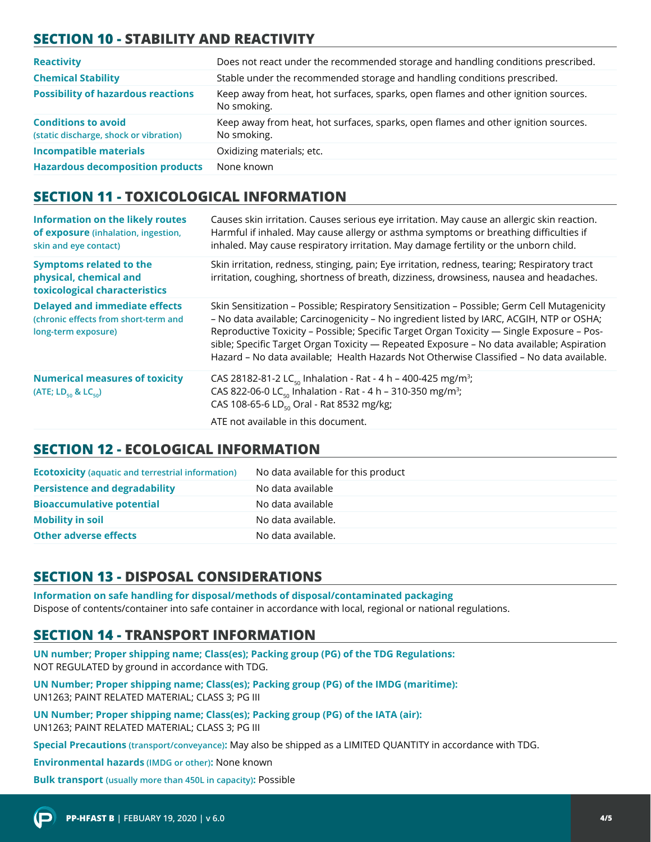# **SECTION 10 - STABILITY AND REACTIVITY**

| <b>Reactivity</b>                                                    | Does not react under the recommended storage and handling conditions prescribed.                  |
|----------------------------------------------------------------------|---------------------------------------------------------------------------------------------------|
| <b>Chemical Stability</b>                                            | Stable under the recommended storage and handling conditions prescribed.                          |
| <b>Possibility of hazardous reactions</b>                            | Keep away from heat, hot surfaces, sparks, open flames and other ignition sources.<br>No smoking. |
| <b>Conditions to avoid</b><br>(static discharge, shock or vibration) | Keep away from heat, hot surfaces, sparks, open flames and other ignition sources.<br>No smoking. |
| <b>Incompatible materials</b>                                        | Oxidizing materials; etc.                                                                         |
| <b>Hazardous decomposition products</b>                              | None known                                                                                        |

#### **SECTION 11 - TOXICOLOGICAL INFORMATION**

| <b>Information on the likely routes</b><br>of exposure (inhalation, ingestion,<br>skin and eye contact) | Causes skin irritation. Causes serious eye irritation. May cause an allergic skin reaction.<br>Harmful if inhaled. May cause allergy or asthma symptoms or breathing difficulties if<br>inhaled. May cause respiratory irritation. May damage fertility or the unborn child.                                                                                                                                                                                                  |
|---------------------------------------------------------------------------------------------------------|-------------------------------------------------------------------------------------------------------------------------------------------------------------------------------------------------------------------------------------------------------------------------------------------------------------------------------------------------------------------------------------------------------------------------------------------------------------------------------|
| <b>Symptoms related to the</b><br>physical, chemical and<br>toxicological characteristics               | Skin irritation, redness, stinging, pain; Eye irritation, redness, tearing; Respiratory tract<br>irritation, coughing, shortness of breath, dizziness, drowsiness, nausea and headaches.                                                                                                                                                                                                                                                                                      |
| <b>Delayed and immediate effects</b><br>(chronic effects from short-term and<br>long-term exposure)     | Skin Sensitization - Possible; Respiratory Sensitization - Possible; Germ Cell Mutagenicity<br>- No data available; Carcinogenicity - No ingredient listed by IARC, ACGIH, NTP or OSHA;<br>Reproductive Toxicity - Possible; Specific Target Organ Toxicity - Single Exposure - Pos-<br>sible; Specific Target Organ Toxicity — Repeated Exposure - No data available; Aspiration<br>Hazard - No data available; Health Hazards Not Otherwise Classified - No data available. |
| <b>Numerical measures of toxicity</b><br>(ATE; $LD_{50}$ & $LC_{50}$ )                                  | CAS 28182-81-2 LC <sub>50</sub> Inhalation - Rat - 4 h - 400-425 mg/m <sup>3</sup> ;<br>CAS 822-06-0 LC <sub>50</sub> Inhalation - Rat - 4 h - 310-350 mg/m <sup>3</sup> ;<br>CAS 108-65-6 LD <sub>50</sub> Oral - Rat 8532 mg/kg;<br>ATE not available in this document.                                                                                                                                                                                                     |

#### **SECTION 12 - ECOLOGICAL INFORMATION**

| <b>Ecotoxicity (aquatic and terrestrial information)</b> | No data available for this product |
|----------------------------------------------------------|------------------------------------|
| <b>Persistence and degradability</b>                     | No data available                  |
| <b>Bioaccumulative potential</b>                         | No data available                  |
| <b>Mobility in soil</b>                                  | No data available.                 |
| <b>Other adverse effects</b>                             | No data available.                 |

# **SECTION 13 - DISPOSAL CONSIDERATIONS**

**Information on safe handling for disposal/methods of disposal/contaminated packaging**  Dispose of contents/container into safe container in accordance with local, regional or national regulations.

# **SECTION 14 - TRANSPORT INFORMATION**

**UN number; Proper shipping name; Class(es); Packing group (PG) of the TDG Regulations:** NOT REGULATED by ground in accordance with TDG.

**UN Number; Proper shipping name; Class(es); Packing group (PG) of the IMDG (maritime):** UN1263; PAINT RELATED MATERIAL; CLASS 3; PG III

**UN Number; Proper shipping name; Class(es); Packing group (PG) of the IATA (air):** UN1263; PAINT RELATED MATERIAL; CLASS 3; PG III

**Special Precautions (transport/conveyance):** May also be shipped as a LIMITED QUANTITY in accordance with TDG.

**Environmental hazards (IMDG or other):** None known

**Bulk transport (usually more than 450L in capacity):** Possible